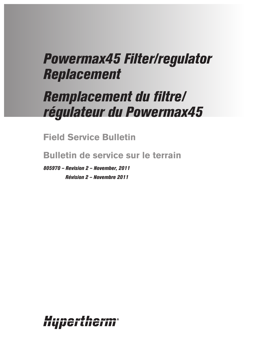# *Powermax45 Filter/regulator Replacement*

# *Remplacement du filtre/ régulateur du Powermax45*

**Field Service Bulletin**

**Bulletin de service sur le terrain**

*805970 – Revision 2 – November, 2011 Révision 2 – Novembre 2011*

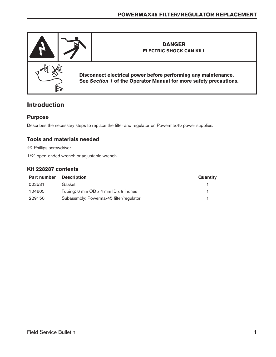

# **Introduction**

## **Purpose**

Describes the necessary steps to replace the filter and regulator on Powermax45 power supplies.

## **Tools and materials needed**

#2 Phillips screwdriver

1/2" open-ended wrench or adjustable wrench.

#### **Kit 228287 contents**

| <b>Part number</b> | <b>Description</b>                       | Quantity |
|--------------------|------------------------------------------|----------|
| 002531             | Gasket                                   |          |
| 104605             | Tubing: 6 mm $OD x 4$ mm $ID x 9$ inches |          |
| 229150             | Subassmbly: Powermax45 filter/regulator  |          |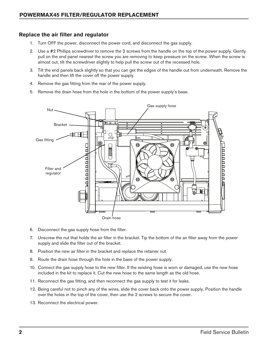#### **Replace the air filter and regulator**

- 1. Turn OFF the power, disconnect the power cord, and disconnect the gas supply.
- 2. Use a #2 Phillips screwdriver to remove the 2 screws from the handle on the top of the power supply. Gently pull on the end panel nearest the screw you are removing to keep pressure on the screw. When the screw is almost out, tilt the screwdriver slightly to help pull the screw out of the recessed hole.
- 3. Tilt the end panels back slightly so that you can get the edges of the handle out from underneath. Remove the handle and then lift the cover off the power supply.
- 4. Remove the gas fitting from the rear of the power supply.
- 5. Remove the drain hose from the hole in the bottom of the power supply's base.



- 6. Disconnect the gas supply hose from the filter.
- 7. Unscrew the nut that holds the air filter in the bracket. Tip the bottom of the air filter away from the power supply and slide the filter out of the bracket.
- 8. Position the new air filter in the bracket and replace the retainer nut.
- 9. Route the drain hose through the hole in the base of the power supply.
- 10. Connect the gas supply hose to the new filter. If the existing hose is worn or damaged, use the new hose included in the kit to replace it. Cut the new hose to the same length as the old hose.
- 11. Reconnect the gas fitting, and then reconnect the gas supply to test it for leaks.
- 12. Being careful not to pinch any of the wires, slide the cover back onto the power supply. Position the handle over the holes in the top of the cover, then use the 2 screws to secure the cover.
- 13. Reconnect the electrical power.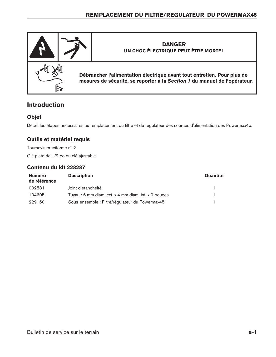

# **Introduction**

# **Objet**

Décrit les étapes nécessaires au remplacement du filtre et du régulateur des sources d'alimentation des Powermax45.

# **Outils et matériel requis**

Tournevis cruciforme n° 2 Clé plate de 1/2 po ou clé ajustable

#### **Contenu du kit 228287**

| <b>Numéro</b><br>de référence | <b>Description</b>                                   | Quantité |
|-------------------------------|------------------------------------------------------|----------|
| 002531                        | Joint d'étanchéité                                   |          |
| 104605                        | Tuyau : 6 mm diam. ext. x 4 mm diam. int. x 9 pouces |          |
| 229150                        | Sous-ensemble : Filtre/régulateur du Powermax45      |          |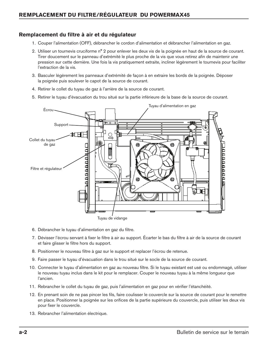## **Remplacement du filtre à air et du régulateur**

- 1. Couper l'alimentation (OFF), débrancher le cordon d'alimentation et débrancher l'alimentation en gaz.
- 2. Utiliser un tournevis cruciforme n° 2 pour enlever les deux vis de la poignée en haut de la source de courant. Tirer doucement sur le panneau d'extrémité le plus proche de la vis que vous retirez afin de maintenir une pression sur cette dernière. Une fois la vis pratiquement extraite, incliner légèrement le tournevis pour faciliter l'extraction de la vis.
- 3. Basculer légèrement les panneaux d'extrémité de façon à en extraire les bords de la poignée. Déposer la poignée puis soulever le capot de la source de courant.
- 4. Retirer le collet du tuyau de gaz à l'arrière de la source de courant.
- 5. Retirer le tuyau d'évacuation du trou situé sur la partie inférieure de la base de la source de courant.



- 6. Débrancher le tuyau d'alimentation en gaz du filtre.
- 7. Dévisser l'écrou servant à fixer le filtre à air au support. Écarter le bas du filtre à air de la source de courant et faire glisser le filtre hors du support.
- 8. Positionner le nouveau filtre à gaz sur le support et replacer l'écrou de retenue.
- 9. Faire passer le tuyau d'évacuation dans le trou situé sur le socle de la source de courant.
- 10. Connecter le tuyau d'alimentation en gaz au nouveau filtre. Si le tuyau existant est usé ou endommagé, utiliser le nouveau tuyau inclus dans le kit pour le remplacer. Couper le nouveau tuyau à la même longueur que l'ancien.
- 11. Rebrancher le collet du tuyau de gaz, puis l'alimentation en gaz pour en vérifier l'étanchéité.
- 12. En prenant soin de ne pas pincer les fils, faire coulisser le couvercle sur la source de courant pour le remettre en place. Positionner la poignée sur les orifices de la partie supérieure du couvercle, puis utiliser les deux vis pour fixer le couvercle.
- 13. Rebrancher l'alimentation électrique.